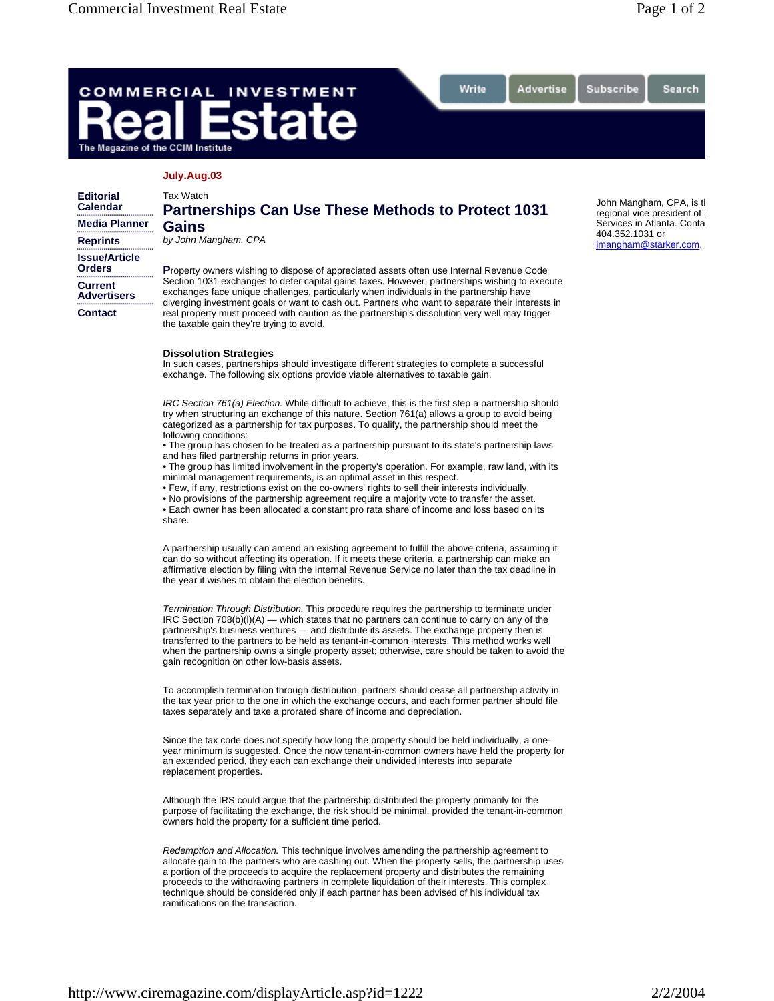Search

## COMMERCIAL **INVESTMENT** ate The Magazine of the CCIM Institute

## **July.Aug.03**

## Tax Watch **Partnerships Can Use These Methods to Protect 1031 Gains**

Write

Advertise

*by John Mangham, CPA* 

**Issue/Article Orders**

**Current Advertisers**

**Contact**

**Editorial Calendar Media Planner Reprints**

> **P**roperty owners wishing to dispose of appreciated assets often use Internal Revenue Code Section 1031 exchanges to defer capital gains taxes. However, partnerships wishing to execute exchanges face unique challenges, particularly when individuals in the partnership have diverging investment goals or want to cash out. Partners who want to separate their interests in real property must proceed with caution as the partnership's dissolution very well may trigger

## **Dissolution Strategies**

the taxable gain they're trying to avoid.

In such cases, partnerships should investigate different strategies to complete a successful exchange. The following six options provide viable alternatives to taxable gain.

*IRC Section 761(a) Election.* While difficult to achieve, this is the first step a partnership should try when structuring an exchange of this nature. Section 761(a) allows a group to avoid being categorized as a partnership for tax purposes. To qualify, the partnership should meet the following conditions:

• The group has chosen to be treated as a partnership pursuant to its state's partnership laws and has filed partnership returns in prior years.

• The group has limited involvement in the property's operation. For example, raw land, with its minimal management requirements, is an optimal asset in this respect.

• Few, if any, restrictions exist on the co-owners' rights to sell their interests individually.

• No provisions of the partnership agreement require a majority vote to transfer the asset.

• Each owner has been allocated a constant pro rata share of income and loss based on its share.

A partnership usually can amend an existing agreement to fulfill the above criteria, assuming it can do so without affecting its operation. If it meets these criteria, a partnership can make an affirmative election by filing with the Internal Revenue Service no later than the tax deadline in the year it wishes to obtain the election benefits.

*Termination Through Distribution.* This procedure requires the partnership to terminate under  $\text{IRC}$  Section 708(b)(l)(A) — which states that no partners can continue to carry on any of the partnership's business ventures — and distribute its assets. The exchange property then is transferred to the partners to be held as tenant-in-common interests. This method works well when the partnership owns a single property asset; otherwise, care should be taken to avoid the gain recognition on other low-basis assets.

To accomplish termination through distribution, partners should cease all partnership activity in the tax year prior to the one in which the exchange occurs, and each former partner should file taxes separately and take a prorated share of income and depreciation.

Since the tax code does not specify how long the property should be held individually, a oneyear minimum is suggested. Once the now tenant-in-common owners have held the property for an extended period, they each can exchange their undivided interests into separate replacement properties.

Although the IRS could argue that the partnership distributed the property primarily for the purpose of facilitating the exchange, the risk should be minimal, provided the tenant-in-common owners hold the property for a sufficient time period.

*Redemption and Allocation.* This technique involves amending the partnership agreement to allocate gain to the partners who are cashing out. When the property sells, the partnership uses a portion of the proceeds to acquire the replacement property and distributes the remaining proceeds to the withdrawing partners in complete liquidation of their interests. This complex technique should be considered only if each partner has been advised of his individual tax ramifications on the transaction.

John Mangham, CPA, is th regional vice president of Services in Atlanta. Conta 404.352.1031 or jmangham@starker.com.

Subscribe